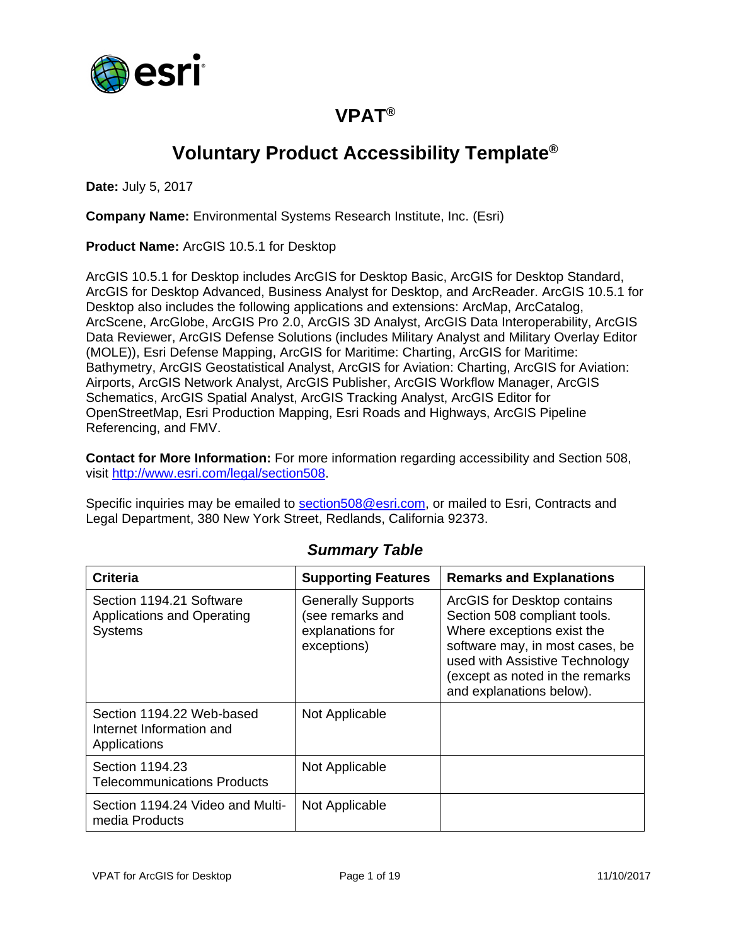

# **VPAT®**

# **Voluntary Product Accessibility Template®**

**Date:** July 5, 2017

**Company Name:** Environmental Systems Research Institute, Inc. (Esri)

**Product Name:** ArcGIS 10.5.1 for Desktop

ArcGIS 10.5.1 for Desktop includes ArcGIS for Desktop Basic, ArcGIS for Desktop Standard, ArcGIS for Desktop Advanced, Business Analyst for Desktop, and ArcReader. ArcGIS 10.5.1 for Desktop also includes the following applications and extensions: ArcMap, ArcCatalog, ArcScene, ArcGlobe, ArcGIS Pro 2.0, ArcGIS 3D Analyst, ArcGIS Data Interoperability, ArcGIS Data Reviewer, ArcGIS Defense Solutions (includes Military Analyst and Military Overlay Editor (MOLE)), Esri Defense Mapping, ArcGIS for Maritime: Charting, ArcGIS for Maritime: Bathymetry, ArcGIS Geostatistical Analyst, ArcGIS for Aviation: Charting, ArcGIS for Aviation: Airports, ArcGIS Network Analyst, ArcGIS Publisher, ArcGIS Workflow Manager, ArcGIS Schematics, ArcGIS Spatial Analyst, ArcGIS Tracking Analyst, ArcGIS Editor for OpenStreetMap, Esri Production Mapping, Esri Roads and Highways, ArcGIS Pipeline Referencing, and FMV.

**Contact for More Information:** For more information regarding accessibility and Section 508, visit [http://www.esri.com/legal/section508.](http://www.esri.com/legal/section508)

Specific inquiries may be emailed to [section508@esri.com,](mailto:section508@esri.com) or mailed to Esri, Contracts and Legal Department, 380 New York Street, Redlands, California 92373.

| <b>Criteria</b>                                                                 | <b>Supporting Features</b>                                                       | <b>Remarks and Explanations</b>                                                                                                                                                                                               |
|---------------------------------------------------------------------------------|----------------------------------------------------------------------------------|-------------------------------------------------------------------------------------------------------------------------------------------------------------------------------------------------------------------------------|
| Section 1194.21 Software<br><b>Applications and Operating</b><br><b>Systems</b> | <b>Generally Supports</b><br>(see remarks and<br>explanations for<br>exceptions) | ArcGIS for Desktop contains<br>Section 508 compliant tools.<br>Where exceptions exist the<br>software may, in most cases, be<br>used with Assistive Technology<br>(except as noted in the remarks<br>and explanations below). |
| Section 1194.22 Web-based<br>Internet Information and<br>Applications           | Not Applicable                                                                   |                                                                                                                                                                                                                               |
| Section 1194.23<br><b>Telecommunications Products</b>                           | Not Applicable                                                                   |                                                                                                                                                                                                                               |
| Section 1194.24 Video and Multi-<br>media Products                              | Not Applicable                                                                   |                                                                                                                                                                                                                               |

#### *Summary Table*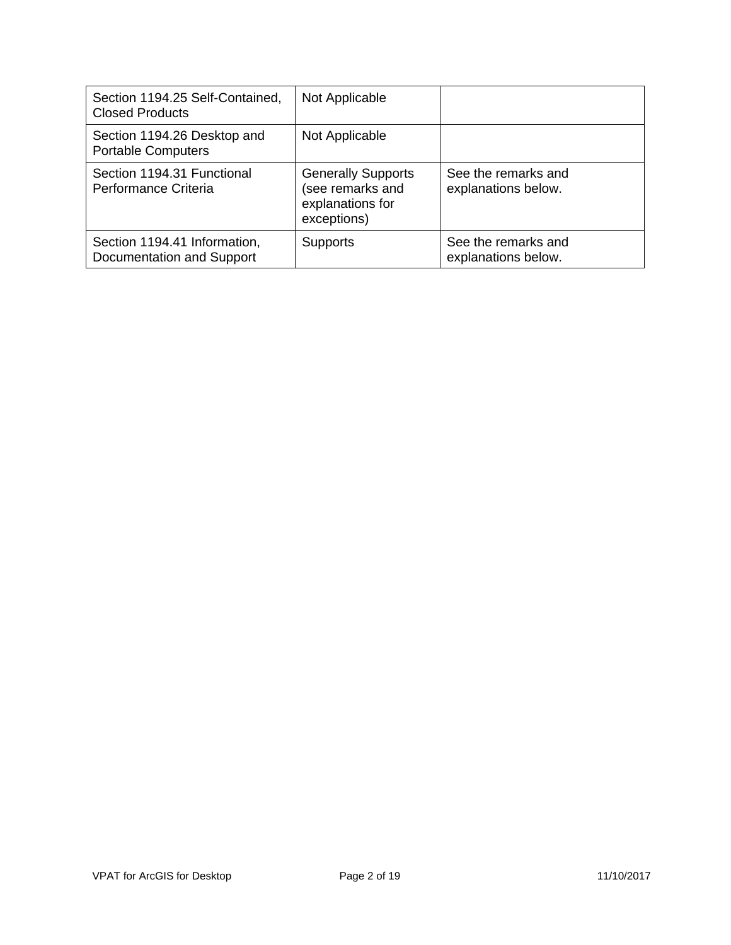| Section 1194.25 Self-Contained,<br><b>Closed Products</b> | Not Applicable                                                                   |                                            |
|-----------------------------------------------------------|----------------------------------------------------------------------------------|--------------------------------------------|
| Section 1194.26 Desktop and<br><b>Portable Computers</b>  | Not Applicable                                                                   |                                            |
| Section 1194.31 Functional<br>Performance Criteria        | <b>Generally Supports</b><br>(see remarks and<br>explanations for<br>exceptions) | See the remarks and<br>explanations below. |
| Section 1194.41 Information,<br>Documentation and Support | <b>Supports</b>                                                                  | See the remarks and<br>explanations below. |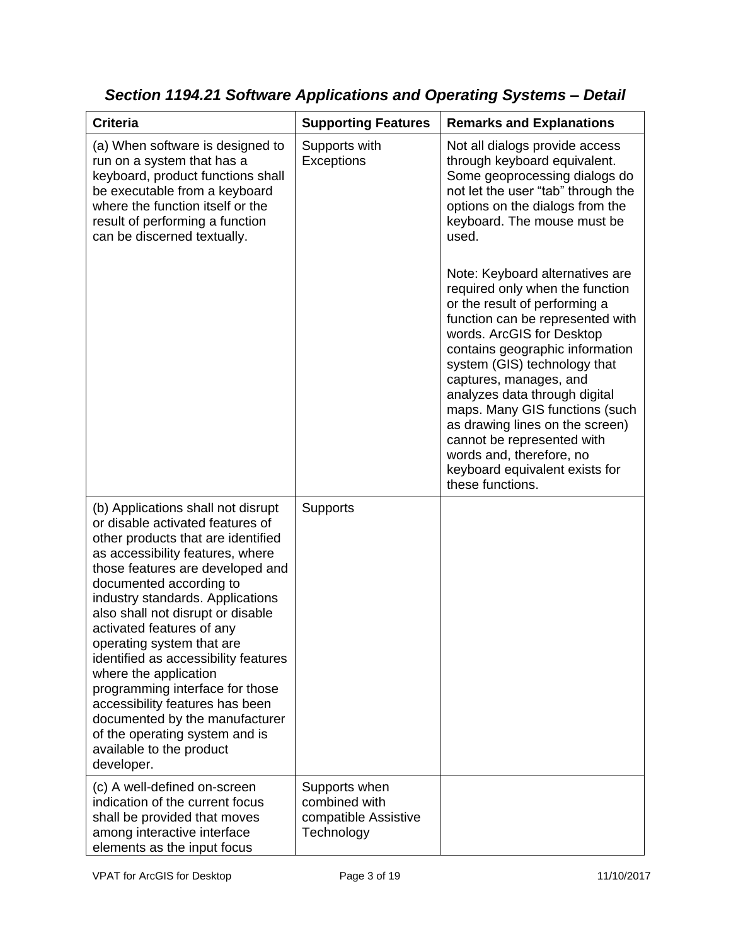| <b>Criteria</b>                                                                                                                                                                                                                                                                                                                                                                                                                                                                                                                                                                                         | <b>Supporting Features</b>                                           | <b>Remarks and Explanations</b>                                                                                                                                                                                                                                                                                                                                                                                                                                                                                                                                                                                                                       |
|---------------------------------------------------------------------------------------------------------------------------------------------------------------------------------------------------------------------------------------------------------------------------------------------------------------------------------------------------------------------------------------------------------------------------------------------------------------------------------------------------------------------------------------------------------------------------------------------------------|----------------------------------------------------------------------|-------------------------------------------------------------------------------------------------------------------------------------------------------------------------------------------------------------------------------------------------------------------------------------------------------------------------------------------------------------------------------------------------------------------------------------------------------------------------------------------------------------------------------------------------------------------------------------------------------------------------------------------------------|
| (a) When software is designed to<br>run on a system that has a<br>keyboard, product functions shall<br>be executable from a keyboard<br>where the function itself or the<br>result of performing a function<br>can be discerned textually.                                                                                                                                                                                                                                                                                                                                                              | Supports with<br>Exceptions                                          | Not all dialogs provide access<br>through keyboard equivalent.<br>Some geoprocessing dialogs do<br>not let the user "tab" through the<br>options on the dialogs from the<br>keyboard. The mouse must be<br>used.<br>Note: Keyboard alternatives are<br>required only when the function<br>or the result of performing a<br>function can be represented with<br>words. ArcGIS for Desktop<br>contains geographic information<br>system (GIS) technology that<br>captures, manages, and<br>analyzes data through digital<br>maps. Many GIS functions (such<br>as drawing lines on the screen)<br>cannot be represented with<br>words and, therefore, no |
|                                                                                                                                                                                                                                                                                                                                                                                                                                                                                                                                                                                                         |                                                                      | keyboard equivalent exists for<br>these functions.                                                                                                                                                                                                                                                                                                                                                                                                                                                                                                                                                                                                    |
| (b) Applications shall not disrupt<br>or disable activated features of<br>other products that are identified<br>as accessibility features, where<br>those features are developed and<br>documented according to<br>industry standards. Applications<br>also shall not disrupt or disable<br>activated features of any<br>operating system that are<br>identified as accessibility features<br>where the application<br>programming interface for those<br>accessibility features has been<br>documented by the manufacturer<br>of the operating system and is<br>available to the product<br>developer. | Supports                                                             |                                                                                                                                                                                                                                                                                                                                                                                                                                                                                                                                                                                                                                                       |
| (c) A well-defined on-screen<br>indication of the current focus<br>shall be provided that moves<br>among interactive interface<br>elements as the input focus                                                                                                                                                                                                                                                                                                                                                                                                                                           | Supports when<br>combined with<br>compatible Assistive<br>Technology |                                                                                                                                                                                                                                                                                                                                                                                                                                                                                                                                                                                                                                                       |

*Section 1194.21 Software Applications and Operating Systems – Detail*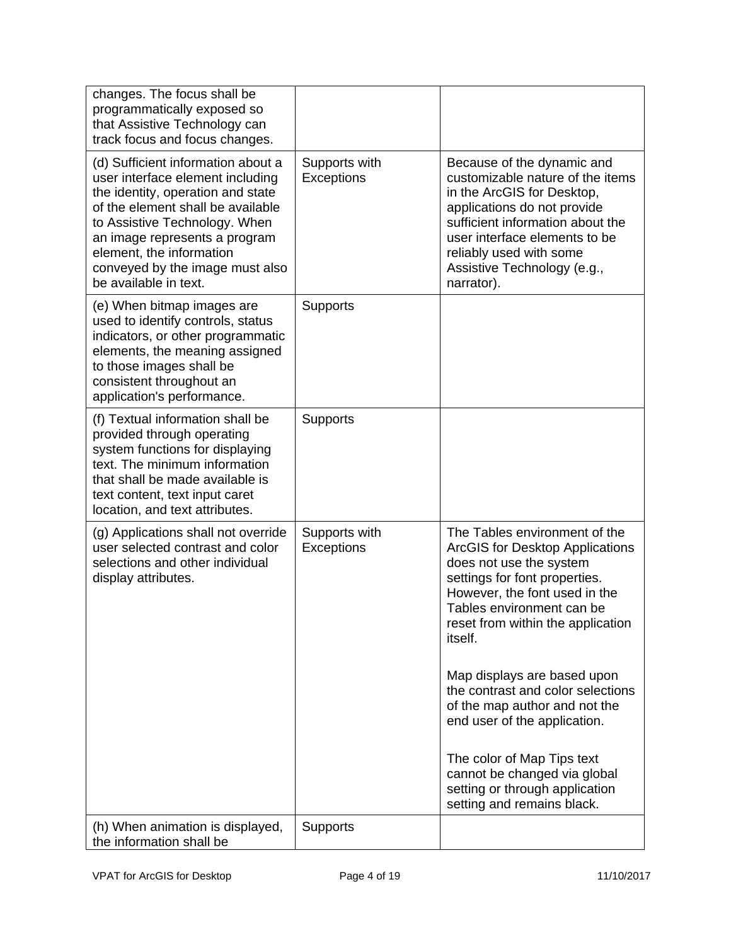| changes. The focus shall be<br>programmatically exposed so<br>that Assistive Technology can<br>track focus and focus changes.                                                                                                                                                                              |                             |                                                                                                                                                                                                                                                                          |
|------------------------------------------------------------------------------------------------------------------------------------------------------------------------------------------------------------------------------------------------------------------------------------------------------------|-----------------------------|--------------------------------------------------------------------------------------------------------------------------------------------------------------------------------------------------------------------------------------------------------------------------|
| (d) Sufficient information about a<br>user interface element including<br>the identity, operation and state<br>of the element shall be available<br>to Assistive Technology. When<br>an image represents a program<br>element, the information<br>conveyed by the image must also<br>be available in text. | Supports with<br>Exceptions | Because of the dynamic and<br>customizable nature of the items<br>in the ArcGIS for Desktop,<br>applications do not provide<br>sufficient information about the<br>user interface elements to be<br>reliably used with some<br>Assistive Technology (e.g.,<br>narrator). |
| (e) When bitmap images are<br>used to identify controls, status<br>indicators, or other programmatic<br>elements, the meaning assigned<br>to those images shall be<br>consistent throughout an<br>application's performance.                                                                               | Supports                    |                                                                                                                                                                                                                                                                          |
| (f) Textual information shall be<br>provided through operating<br>system functions for displaying<br>text. The minimum information<br>that shall be made available is<br>text content, text input caret<br>location, and text attributes.                                                                  | Supports                    |                                                                                                                                                                                                                                                                          |
| (g) Applications shall not override<br>user selected contrast and color<br>selections and other individual<br>display attributes.                                                                                                                                                                          | Supports with<br>Exceptions | The Tables environment of the<br><b>ArcGIS for Desktop Applications</b><br>does not use the system<br>settings for font properties.<br>However, the font used in the<br>Tables environment can be<br>reset from within the application<br>itself.                        |
|                                                                                                                                                                                                                                                                                                            |                             | Map displays are based upon<br>the contrast and color selections<br>of the map author and not the<br>end user of the application.                                                                                                                                        |
|                                                                                                                                                                                                                                                                                                            |                             | The color of Map Tips text<br>cannot be changed via global<br>setting or through application<br>setting and remains black.                                                                                                                                               |
| (h) When animation is displayed,<br>the information shall be                                                                                                                                                                                                                                               | <b>Supports</b>             |                                                                                                                                                                                                                                                                          |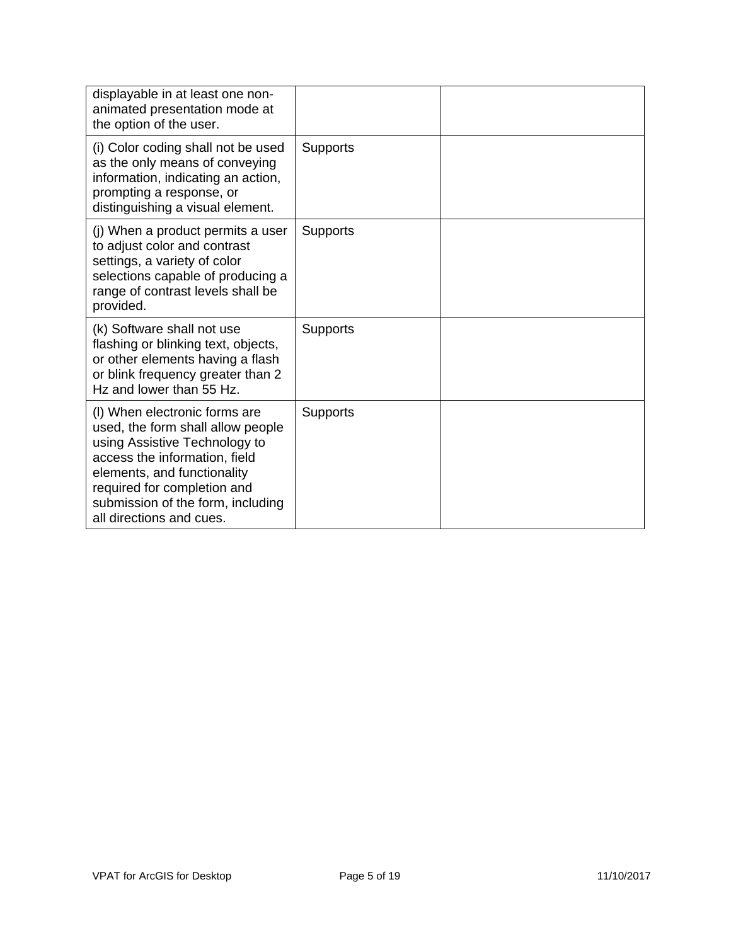| displayable in at least one non-<br>animated presentation mode at<br>the option of the user.                                                                                                                                                                        |                 |  |
|---------------------------------------------------------------------------------------------------------------------------------------------------------------------------------------------------------------------------------------------------------------------|-----------------|--|
| (i) Color coding shall not be used<br>as the only means of conveying<br>information, indicating an action,<br>prompting a response, or<br>distinguishing a visual element.                                                                                          | Supports        |  |
| (j) When a product permits a user<br>to adjust color and contrast<br>settings, a variety of color<br>selections capable of producing a<br>range of contrast levels shall be<br>provided.                                                                            | <b>Supports</b> |  |
| (k) Software shall not use<br>flashing or blinking text, objects,<br>or other elements having a flash<br>or blink frequency greater than 2<br>Hz and lower than 55 Hz.                                                                                              | Supports        |  |
| (I) When electronic forms are<br>used, the form shall allow people<br>using Assistive Technology to<br>access the information, field<br>elements, and functionality<br>required for completion and<br>submission of the form, including<br>all directions and cues. | Supports        |  |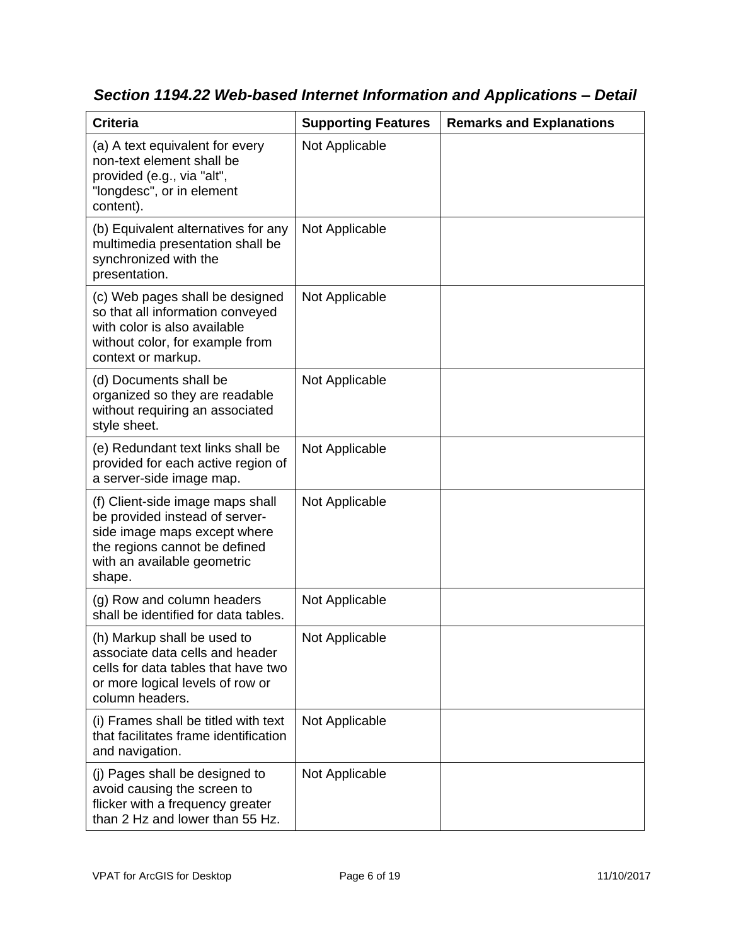| <b>Criteria</b>                                                                                                                                                              | <b>Supporting Features</b> | <b>Remarks and Explanations</b> |
|------------------------------------------------------------------------------------------------------------------------------------------------------------------------------|----------------------------|---------------------------------|
| (a) A text equivalent for every<br>non-text element shall be<br>provided (e.g., via "alt",<br>"longdesc", or in element<br>content).                                         | Not Applicable             |                                 |
| (b) Equivalent alternatives for any<br>multimedia presentation shall be<br>synchronized with the<br>presentation.                                                            | Not Applicable             |                                 |
| (c) Web pages shall be designed<br>so that all information conveyed<br>with color is also available<br>without color, for example from<br>context or markup.                 | Not Applicable             |                                 |
| (d) Documents shall be<br>organized so they are readable<br>without requiring an associated<br>style sheet.                                                                  | Not Applicable             |                                 |
| (e) Redundant text links shall be<br>provided for each active region of<br>a server-side image map.                                                                          | Not Applicable             |                                 |
| (f) Client-side image maps shall<br>be provided instead of server-<br>side image maps except where<br>the regions cannot be defined<br>with an available geometric<br>shape. | Not Applicable             |                                 |
| (g) Row and column headers<br>shall be identified for data tables.                                                                                                           | Not Applicable             |                                 |
| (h) Markup shall be used to<br>associate data cells and header<br>cells for data tables that have two<br>or more logical levels of row or<br>column headers.                 | Not Applicable             |                                 |
| (i) Frames shall be titled with text<br>that facilitates frame identification<br>and navigation.                                                                             | Not Applicable             |                                 |
| (j) Pages shall be designed to<br>avoid causing the screen to<br>flicker with a frequency greater<br>than 2 Hz and lower than 55 Hz.                                         | Not Applicable             |                                 |

*Section 1194.22 Web-based Internet Information and Applications – Detail*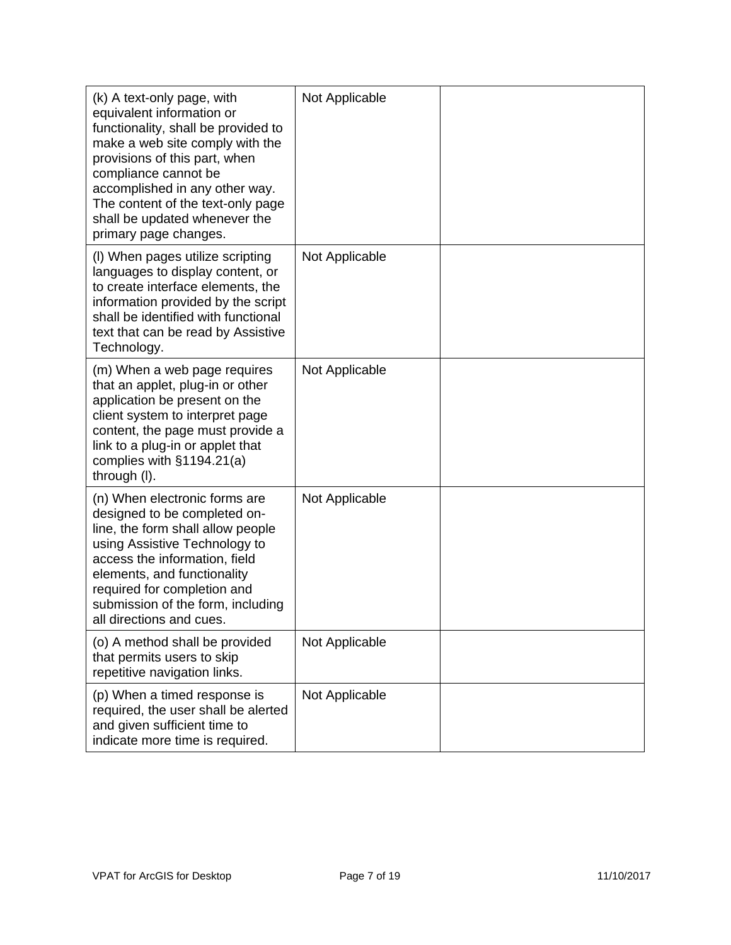| (k) A text-only page, with<br>equivalent information or<br>functionality, shall be provided to<br>make a web site comply with the<br>provisions of this part, when<br>compliance cannot be<br>accomplished in any other way.<br>The content of the text-only page<br>shall be updated whenever the<br>primary page changes. | Not Applicable |  |
|-----------------------------------------------------------------------------------------------------------------------------------------------------------------------------------------------------------------------------------------------------------------------------------------------------------------------------|----------------|--|
| (I) When pages utilize scripting<br>languages to display content, or<br>to create interface elements, the<br>information provided by the script<br>shall be identified with functional<br>text that can be read by Assistive<br>Technology.                                                                                 | Not Applicable |  |
| (m) When a web page requires<br>that an applet, plug-in or other<br>application be present on the<br>client system to interpret page<br>content, the page must provide a<br>link to a plug-in or applet that<br>complies with $§1194.21(a)$<br>through (I).                                                                 | Not Applicable |  |
| (n) When electronic forms are<br>designed to be completed on-<br>line, the form shall allow people<br>using Assistive Technology to<br>access the information, field<br>elements, and functionality<br>required for completion and<br>submission of the form, including<br>all directions and cues.                         | Not Applicable |  |
| (o) A method shall be provided<br>that permits users to skip<br>repetitive navigation links.                                                                                                                                                                                                                                | Not Applicable |  |
| (p) When a timed response is<br>required, the user shall be alerted<br>and given sufficient time to<br>indicate more time is required.                                                                                                                                                                                      | Not Applicable |  |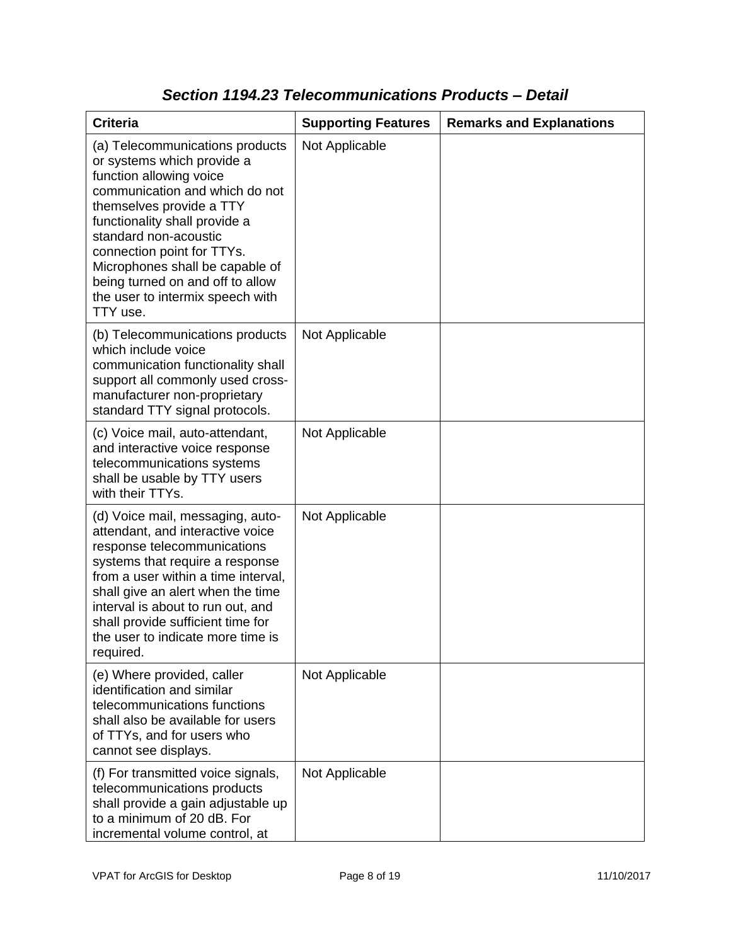| <b>Criteria</b>                                                                                                                                                                                                                                                                                                                                                       | <b>Supporting Features</b> | <b>Remarks and Explanations</b> |
|-----------------------------------------------------------------------------------------------------------------------------------------------------------------------------------------------------------------------------------------------------------------------------------------------------------------------------------------------------------------------|----------------------------|---------------------------------|
| (a) Telecommunications products<br>or systems which provide a<br>function allowing voice<br>communication and which do not<br>themselves provide a TTY<br>functionality shall provide a<br>standard non-acoustic<br>connection point for TTYs.<br>Microphones shall be capable of<br>being turned on and off to allow<br>the user to intermix speech with<br>TTY use. | Not Applicable             |                                 |
| (b) Telecommunications products<br>which include voice<br>communication functionality shall<br>support all commonly used cross-<br>manufacturer non-proprietary<br>standard TTY signal protocols.                                                                                                                                                                     | Not Applicable             |                                 |
| (c) Voice mail, auto-attendant,<br>and interactive voice response<br>telecommunications systems<br>shall be usable by TTY users<br>with their TTYs.                                                                                                                                                                                                                   | Not Applicable             |                                 |
| (d) Voice mail, messaging, auto-<br>attendant, and interactive voice<br>response telecommunications<br>systems that require a response<br>from a user within a time interval,<br>shall give an alert when the time<br>interval is about to run out, and<br>shall provide sufficient time for<br>the user to indicate more time is<br>required.                        | Not Applicable             |                                 |
| (e) Where provided, caller<br>identification and similar<br>telecommunications functions<br>shall also be available for users<br>of TTYs, and for users who<br>cannot see displays.                                                                                                                                                                                   | Not Applicable             |                                 |
| (f) For transmitted voice signals,<br>telecommunications products<br>shall provide a gain adjustable up<br>to a minimum of 20 dB. For<br>incremental volume control, at                                                                                                                                                                                               | Not Applicable             |                                 |

### *Section 1194.23 Telecommunications Products – Detail*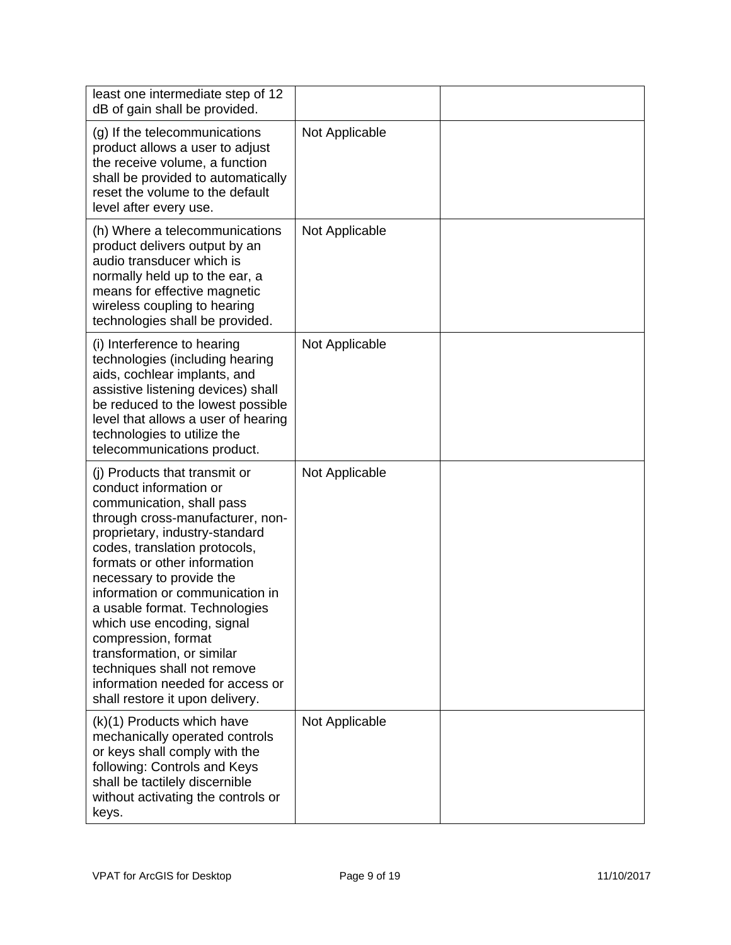| least one intermediate step of 12<br>dB of gain shall be provided.                                                                                                                                                                                                                                                                                                                                                                                                                                                   |                |  |
|----------------------------------------------------------------------------------------------------------------------------------------------------------------------------------------------------------------------------------------------------------------------------------------------------------------------------------------------------------------------------------------------------------------------------------------------------------------------------------------------------------------------|----------------|--|
| (g) If the telecommunications<br>product allows a user to adjust<br>the receive volume, a function<br>shall be provided to automatically<br>reset the volume to the default<br>level after every use.                                                                                                                                                                                                                                                                                                                | Not Applicable |  |
| (h) Where a telecommunications<br>product delivers output by an<br>audio transducer which is<br>normally held up to the ear, a<br>means for effective magnetic<br>wireless coupling to hearing<br>technologies shall be provided.                                                                                                                                                                                                                                                                                    | Not Applicable |  |
| (i) Interference to hearing<br>technologies (including hearing<br>aids, cochlear implants, and<br>assistive listening devices) shall<br>be reduced to the lowest possible<br>level that allows a user of hearing<br>technologies to utilize the<br>telecommunications product.                                                                                                                                                                                                                                       | Not Applicable |  |
| (i) Products that transmit or<br>conduct information or<br>communication, shall pass<br>through cross-manufacturer, non-<br>proprietary, industry-standard<br>codes, translation protocols,<br>formats or other information<br>necessary to provide the<br>information or communication in<br>a usable format. Technologies<br>which use encoding, signal<br>compression, format<br>transformation, or similar<br>techniques shall not remove<br>information needed for access or<br>shall restore it upon delivery. | Not Applicable |  |
| (k)(1) Products which have<br>mechanically operated controls<br>or keys shall comply with the<br>following: Controls and Keys<br>shall be tactilely discernible<br>without activating the controls or<br>keys.                                                                                                                                                                                                                                                                                                       | Not Applicable |  |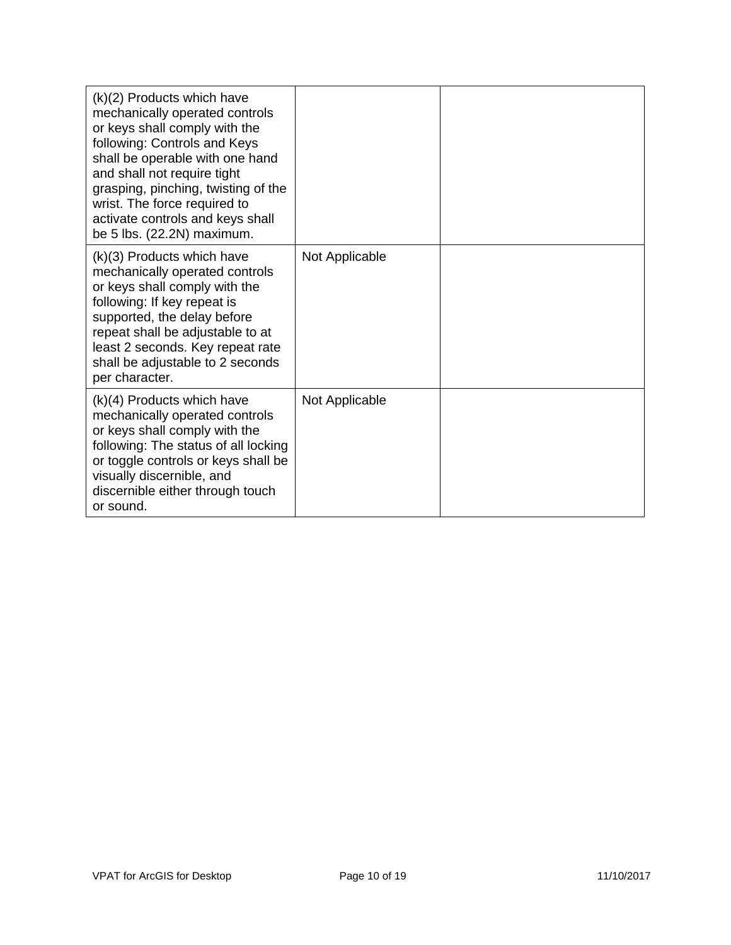| $(k)(2)$ Products which have<br>mechanically operated controls<br>or keys shall comply with the<br>following: Controls and Keys<br>shall be operable with one hand<br>and shall not require tight<br>grasping, pinching, twisting of the<br>wrist. The force required to<br>activate controls and keys shall<br>be 5 lbs. (22.2N) maximum. |                |  |
|--------------------------------------------------------------------------------------------------------------------------------------------------------------------------------------------------------------------------------------------------------------------------------------------------------------------------------------------|----------------|--|
| $(k)(3)$ Products which have<br>mechanically operated controls<br>or keys shall comply with the<br>following: If key repeat is<br>supported, the delay before<br>repeat shall be adjustable to at<br>least 2 seconds. Key repeat rate<br>shall be adjustable to 2 seconds<br>per character.                                                | Not Applicable |  |
| $(k)(4)$ Products which have<br>mechanically operated controls<br>or keys shall comply with the<br>following: The status of all locking<br>or toggle controls or keys shall be<br>visually discernible, and<br>discernible either through touch<br>or sound.                                                                               | Not Applicable |  |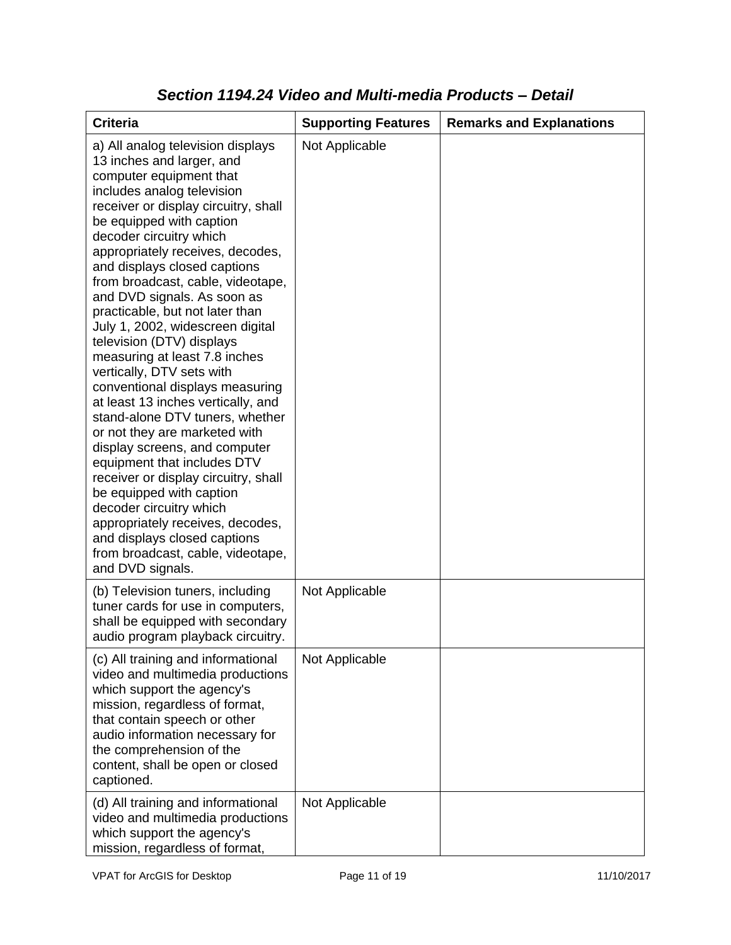| <b>Criteria</b>                                                                                                                                                                                                                                                                                                                                                                                                                                                                                                                                                                                                                                                                                                                                                                                                                                                                                                                                                           | <b>Supporting Features</b> | <b>Remarks and Explanations</b> |
|---------------------------------------------------------------------------------------------------------------------------------------------------------------------------------------------------------------------------------------------------------------------------------------------------------------------------------------------------------------------------------------------------------------------------------------------------------------------------------------------------------------------------------------------------------------------------------------------------------------------------------------------------------------------------------------------------------------------------------------------------------------------------------------------------------------------------------------------------------------------------------------------------------------------------------------------------------------------------|----------------------------|---------------------------------|
| a) All analog television displays<br>13 inches and larger, and<br>computer equipment that<br>includes analog television<br>receiver or display circuitry, shall<br>be equipped with caption<br>decoder circuitry which<br>appropriately receives, decodes,<br>and displays closed captions<br>from broadcast, cable, videotape,<br>and DVD signals. As soon as<br>practicable, but not later than<br>July 1, 2002, widescreen digital<br>television (DTV) displays<br>measuring at least 7.8 inches<br>vertically, DTV sets with<br>conventional displays measuring<br>at least 13 inches vertically, and<br>stand-alone DTV tuners, whether<br>or not they are marketed with<br>display screens, and computer<br>equipment that includes DTV<br>receiver or display circuitry, shall<br>be equipped with caption<br>decoder circuitry which<br>appropriately receives, decodes,<br>and displays closed captions<br>from broadcast, cable, videotape,<br>and DVD signals. | Not Applicable             |                                 |
| (b) Television tuners, including<br>tuner cards for use in computers,<br>shall be equipped with secondary<br>audio program playback circuitry.                                                                                                                                                                                                                                                                                                                                                                                                                                                                                                                                                                                                                                                                                                                                                                                                                            | Not Applicable             |                                 |
| (c) All training and informational<br>video and multimedia productions<br>which support the agency's<br>mission, regardless of format,<br>that contain speech or other<br>audio information necessary for<br>the comprehension of the<br>content, shall be open or closed<br>captioned.                                                                                                                                                                                                                                                                                                                                                                                                                                                                                                                                                                                                                                                                                   | Not Applicable             |                                 |
| (d) All training and informational<br>video and multimedia productions<br>which support the agency's<br>mission, regardless of format,                                                                                                                                                                                                                                                                                                                                                                                                                                                                                                                                                                                                                                                                                                                                                                                                                                    | Not Applicable             |                                 |

### *Section 1194.24 Video and Multi-media Products – Detail*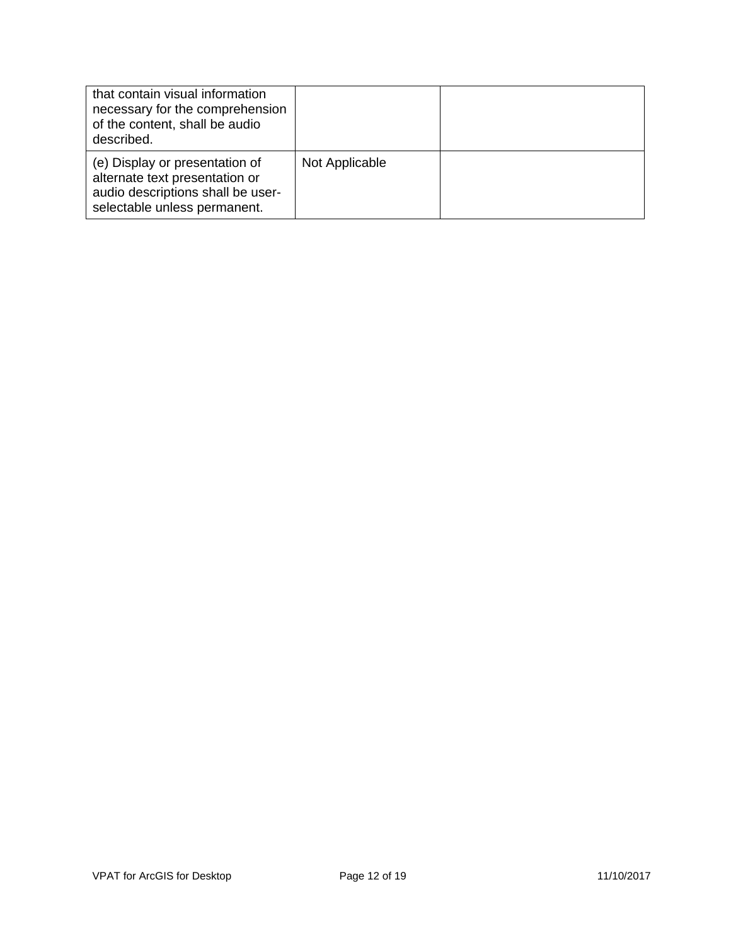| that contain visual information<br>necessary for the comprehension<br>of the content, shall be audio<br>described.                    |                |  |
|---------------------------------------------------------------------------------------------------------------------------------------|----------------|--|
| (e) Display or presentation of<br>alternate text presentation or<br>audio descriptions shall be user-<br>selectable unless permanent. | Not Applicable |  |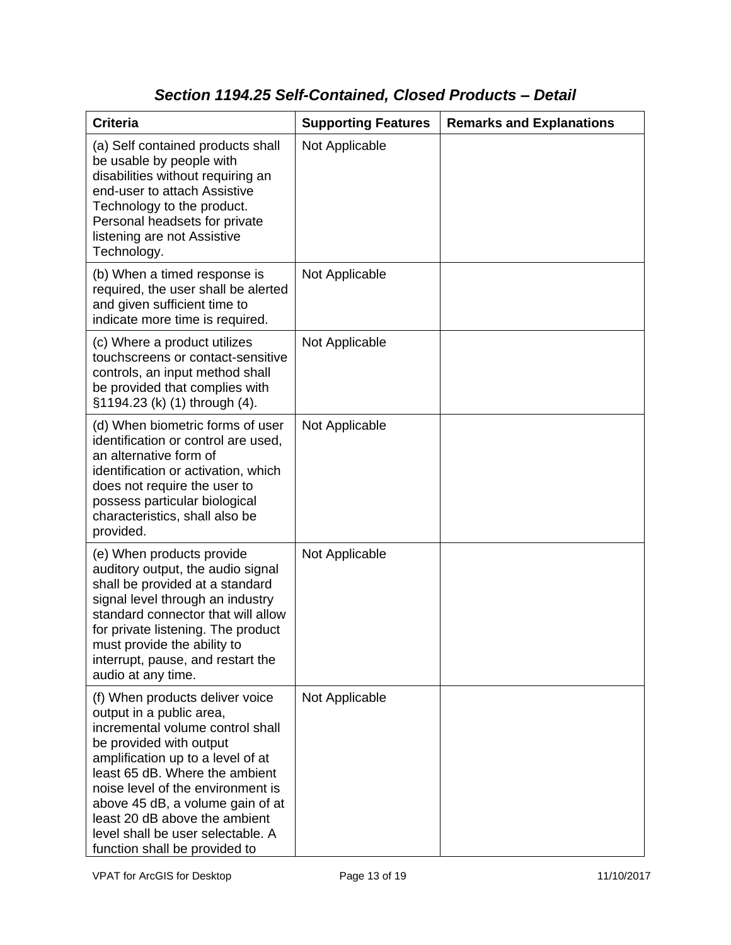# *Section 1194.25 Self-Contained, Closed Products – Detail*

| <b>Criteria</b>                                                                                                                                                                                                                                                                                                                                                                   | <b>Supporting Features</b> | <b>Remarks and Explanations</b> |
|-----------------------------------------------------------------------------------------------------------------------------------------------------------------------------------------------------------------------------------------------------------------------------------------------------------------------------------------------------------------------------------|----------------------------|---------------------------------|
| (a) Self contained products shall<br>be usable by people with<br>disabilities without requiring an<br>end-user to attach Assistive<br>Technology to the product.<br>Personal headsets for private<br>listening are not Assistive<br>Technology.                                                                                                                                   | Not Applicable             |                                 |
| (b) When a timed response is<br>required, the user shall be alerted<br>and given sufficient time to<br>indicate more time is required.                                                                                                                                                                                                                                            | Not Applicable             |                                 |
| (c) Where a product utilizes<br>touchscreens or contact-sensitive<br>controls, an input method shall<br>be provided that complies with<br>§1194.23 (k) (1) through (4).                                                                                                                                                                                                           | Not Applicable             |                                 |
| (d) When biometric forms of user<br>identification or control are used,<br>an alternative form of<br>identification or activation, which<br>does not require the user to<br>possess particular biological<br>characteristics, shall also be<br>provided.                                                                                                                          | Not Applicable             |                                 |
| (e) When products provide<br>auditory output, the audio signal<br>shall be provided at a standard<br>signal level through an industry<br>standard connector that will allow<br>for private listening. The product<br>must provide the ability to<br>interrupt, pause, and restart the<br>audio at any time.                                                                       | Not Applicable             |                                 |
| (f) When products deliver voice<br>output in a public area,<br>incremental volume control shall<br>be provided with output<br>amplification up to a level of at<br>least 65 dB. Where the ambient<br>noise level of the environment is<br>above 45 dB, a volume gain of at<br>least 20 dB above the ambient<br>level shall be user selectable. A<br>function shall be provided to | Not Applicable             |                                 |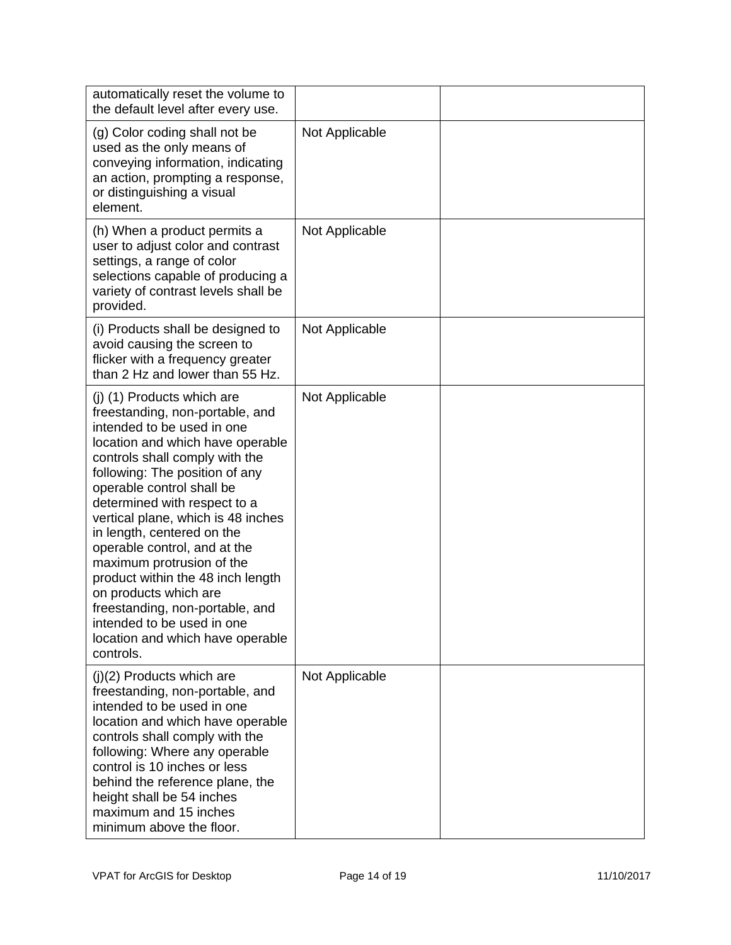| automatically reset the volume to<br>the default level after every use.                                                                                                                                                                                                                                                                                                                                                                                                                                                                                                           |                |  |
|-----------------------------------------------------------------------------------------------------------------------------------------------------------------------------------------------------------------------------------------------------------------------------------------------------------------------------------------------------------------------------------------------------------------------------------------------------------------------------------------------------------------------------------------------------------------------------------|----------------|--|
| (g) Color coding shall not be<br>used as the only means of<br>conveying information, indicating<br>an action, prompting a response,<br>or distinguishing a visual<br>element.                                                                                                                                                                                                                                                                                                                                                                                                     | Not Applicable |  |
| (h) When a product permits a<br>user to adjust color and contrast<br>settings, a range of color<br>selections capable of producing a<br>variety of contrast levels shall be<br>provided.                                                                                                                                                                                                                                                                                                                                                                                          | Not Applicable |  |
| (i) Products shall be designed to<br>avoid causing the screen to<br>flicker with a frequency greater<br>than 2 Hz and lower than 55 Hz.                                                                                                                                                                                                                                                                                                                                                                                                                                           | Not Applicable |  |
| (j) (1) Products which are<br>freestanding, non-portable, and<br>intended to be used in one<br>location and which have operable<br>controls shall comply with the<br>following: The position of any<br>operable control shall be<br>determined with respect to a<br>vertical plane, which is 48 inches<br>in length, centered on the<br>operable control, and at the<br>maximum protrusion of the<br>product within the 48 inch length<br>on products which are<br>freestanding, non-portable, and<br>intended to be used in one<br>location and which have operable<br>controls. | Not Applicable |  |
| $(i)(2)$ Products which are<br>freestanding, non-portable, and<br>intended to be used in one<br>location and which have operable<br>controls shall comply with the<br>following: Where any operable<br>control is 10 inches or less<br>behind the reference plane, the<br>height shall be 54 inches<br>maximum and 15 inches<br>minimum above the floor.                                                                                                                                                                                                                          | Not Applicable |  |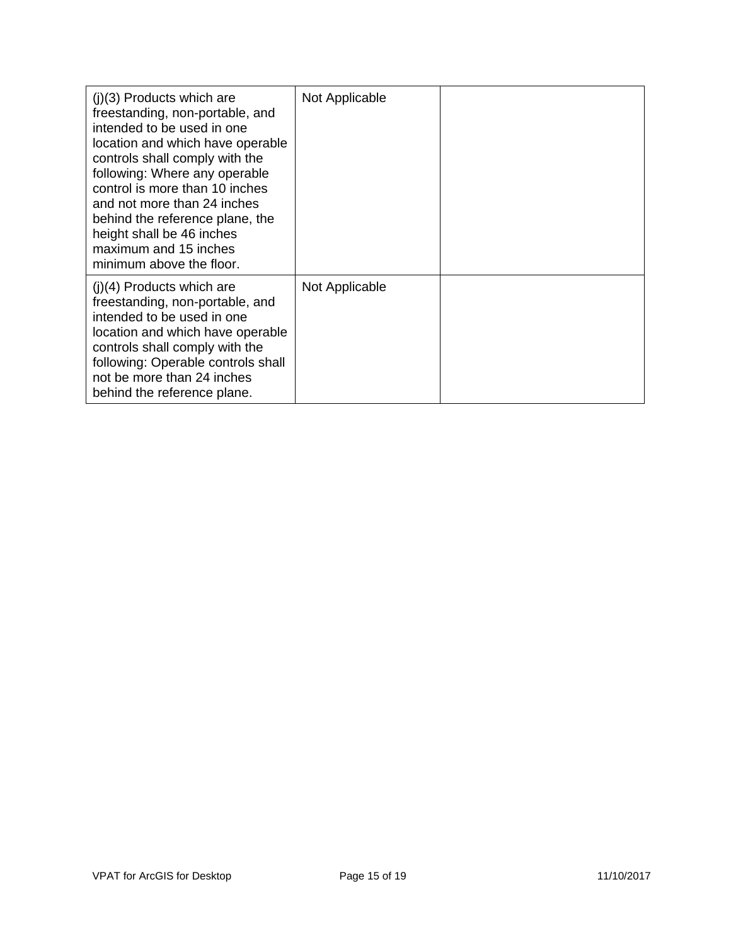| $(i)(3)$ Products which are<br>freestanding, non-portable, and<br>intended to be used in one<br>location and which have operable<br>controls shall comply with the<br>following: Where any operable<br>control is more than 10 inches<br>and not more than 24 inches<br>behind the reference plane, the<br>height shall be 46 inches<br>maximum and 15 inches<br>minimum above the floor. | Not Applicable |  |
|-------------------------------------------------------------------------------------------------------------------------------------------------------------------------------------------------------------------------------------------------------------------------------------------------------------------------------------------------------------------------------------------|----------------|--|
| $(j)(4)$ Products which are<br>freestanding, non-portable, and<br>intended to be used in one<br>location and which have operable<br>controls shall comply with the<br>following: Operable controls shall<br>not be more than 24 inches<br>behind the reference plane.                                                                                                                     | Not Applicable |  |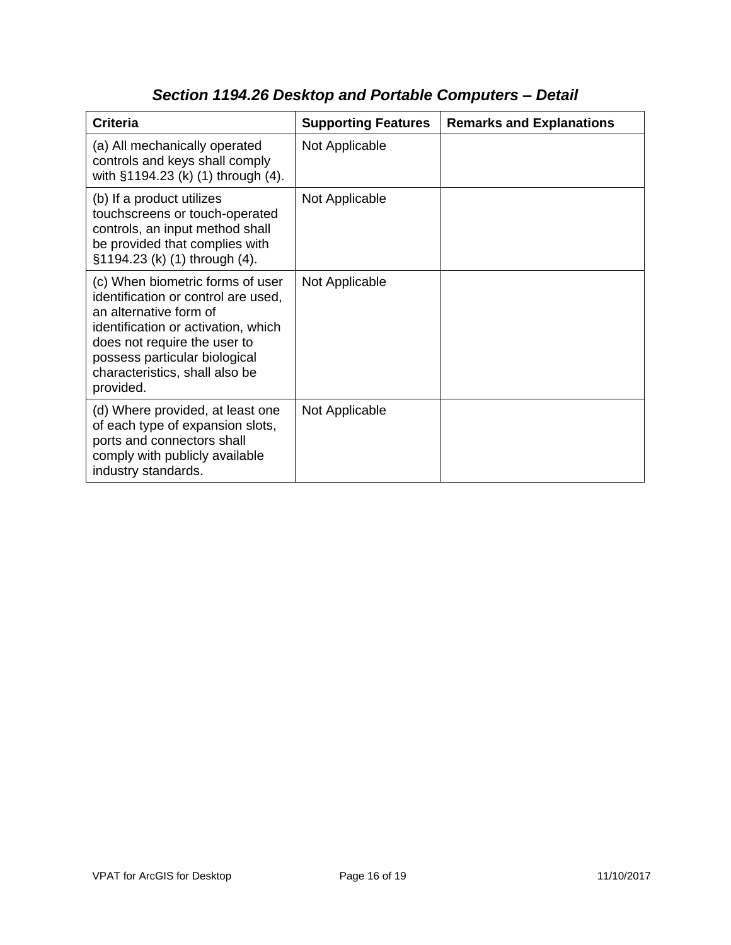| <b>Criteria</b>                                                                                                                                                                                                                                          | <b>Supporting Features</b> | <b>Remarks and Explanations</b> |
|----------------------------------------------------------------------------------------------------------------------------------------------------------------------------------------------------------------------------------------------------------|----------------------------|---------------------------------|
| (a) All mechanically operated<br>controls and keys shall comply<br>with §1194.23 (k) (1) through (4).                                                                                                                                                    | Not Applicable             |                                 |
| (b) If a product utilizes<br>touchscreens or touch-operated<br>controls, an input method shall<br>be provided that complies with<br>§1194.23 (k) (1) through (4).                                                                                        | Not Applicable             |                                 |
| (c) When biometric forms of user<br>identification or control are used,<br>an alternative form of<br>identification or activation, which<br>does not require the user to<br>possess particular biological<br>characteristics, shall also be<br>provided. | Not Applicable             |                                 |
| (d) Where provided, at least one<br>of each type of expansion slots,<br>ports and connectors shall<br>comply with publicly available<br>industry standards.                                                                                              | Not Applicable             |                                 |

# *Section 1194.26 Desktop and Portable Computers – Detail*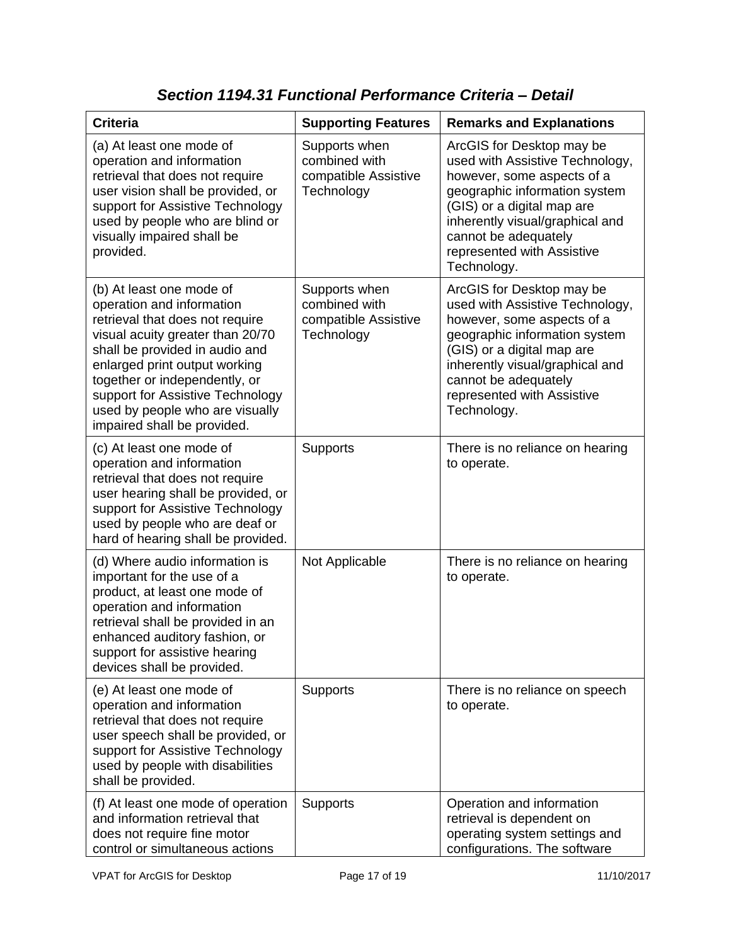| <b>Criteria</b>                                                                                                                                                                                                                                                                                                                        | <b>Supporting Features</b>                                           | <b>Remarks and Explanations</b>                                                                                                                                                                                                                                   |
|----------------------------------------------------------------------------------------------------------------------------------------------------------------------------------------------------------------------------------------------------------------------------------------------------------------------------------------|----------------------------------------------------------------------|-------------------------------------------------------------------------------------------------------------------------------------------------------------------------------------------------------------------------------------------------------------------|
| (a) At least one mode of<br>operation and information<br>retrieval that does not require<br>user vision shall be provided, or<br>support for Assistive Technology<br>used by people who are blind or<br>visually impaired shall be<br>provided.                                                                                        | Supports when<br>combined with<br>compatible Assistive<br>Technology | ArcGIS for Desktop may be<br>used with Assistive Technology,<br>however, some aspects of a<br>geographic information system<br>(GIS) or a digital map are<br>inherently visual/graphical and<br>cannot be adequately<br>represented with Assistive<br>Technology. |
| (b) At least one mode of<br>operation and information<br>retrieval that does not require<br>visual acuity greater than 20/70<br>shall be provided in audio and<br>enlarged print output working<br>together or independently, or<br>support for Assistive Technology<br>used by people who are visually<br>impaired shall be provided. | Supports when<br>combined with<br>compatible Assistive<br>Technology | ArcGIS for Desktop may be<br>used with Assistive Technology,<br>however, some aspects of a<br>geographic information system<br>(GIS) or a digital map are<br>inherently visual/graphical and<br>cannot be adequately<br>represented with Assistive<br>Technology. |
| (c) At least one mode of<br>operation and information<br>retrieval that does not require<br>user hearing shall be provided, or<br>support for Assistive Technology<br>used by people who are deaf or<br>hard of hearing shall be provided.                                                                                             | Supports                                                             | There is no reliance on hearing<br>to operate.                                                                                                                                                                                                                    |
| (d) Where audio information is<br>important for the use of a<br>product, at least one mode of<br>operation and information<br>retrieval shall be provided in an<br>enhanced auditory fashion, or<br>support for assistive hearing<br>devices shall be provided.                                                                        | Not Applicable                                                       | There is no reliance on hearing<br>to operate.                                                                                                                                                                                                                    |
| (e) At least one mode of<br>operation and information<br>retrieval that does not require<br>user speech shall be provided, or<br>support for Assistive Technology<br>used by people with disabilities<br>shall be provided.                                                                                                            | <b>Supports</b>                                                      | There is no reliance on speech<br>to operate.                                                                                                                                                                                                                     |
| (f) At least one mode of operation<br>and information retrieval that<br>does not require fine motor<br>control or simultaneous actions                                                                                                                                                                                                 | Supports                                                             | Operation and information<br>retrieval is dependent on<br>operating system settings and<br>configurations. The software                                                                                                                                           |

#### *Section 1194.31 Functional Performance Criteria – Detail*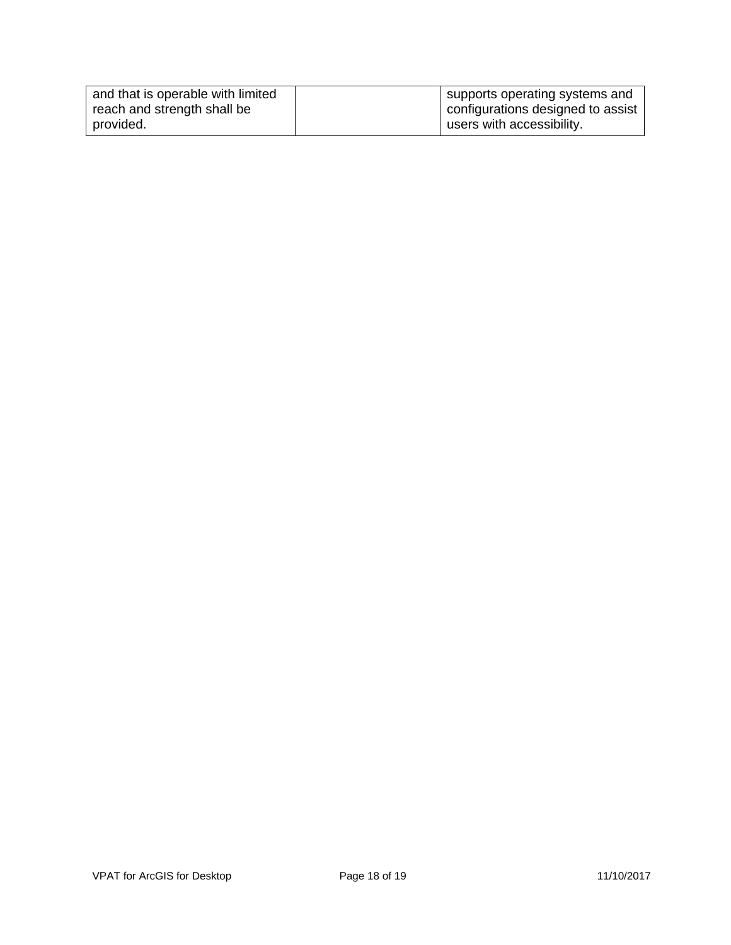| and that is operable with limited | supports operating systems and    |
|-----------------------------------|-----------------------------------|
| reach and strength shall be       | configurations designed to assist |
| provided.                         | users with accessibility.         |